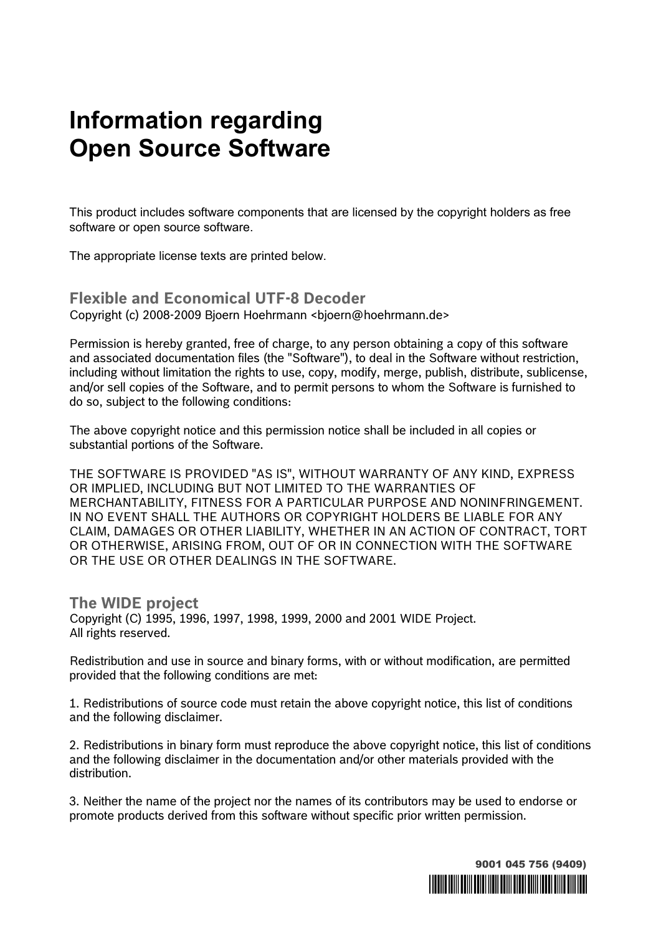## **Information regarding Open Source Software**

This product includes software components that are licensed by the copyright holders as free software or open source software.

The appropriate license texts are printed below.

**Flexible and Economical UTF-8 Decoder**  Copyright (c) 2008-2009 Bjoern Hoehrmann <bjoern@hoehrmann.de>

Permission is hereby granted, free of charge, to any person obtaining a copy of this software and associated documentation files (the "Software"), to deal in the Software without restriction, including without limitation the rights to use, copy, modify, merge, publish, distribute, sublicense, and/or sell copies of the Software, and to permit persons to whom the Software is furnished to do so, subject to the following conditions:

The above copyright notice and this permission notice shall be included in all copies or substantial portions of the Software.

THE SOFTWARE IS PROVIDED "AS IS", WITHOUT WARRANTY OF ANY KIND, EXPRESS OR IMPLIED, INCLUDING BUT NOT LIMITED TO THE WARRANTIES OF MERCHANTABILITY, FITNESS FOR A PARTICULAR PURPOSE AND NONINFRINGEMENT. IN NO EVENT SHALL THE AUTHORS OR COPYRIGHT HOLDERS BE LIABLE FOR ANY CLAIM, DAMAGES OR OTHER LIABILITY, WHETHER IN AN ACTION OF CONTRACT, TORT OR OTHERWISE, ARISING FROM, OUT OF OR IN CONNECTION WITH THE SOFTWARE OR THE USE OR OTHER DEALINGS IN THE SOFTWARE.

**The WIDE project**  Copyright (C) 1995, 1996, 1997, 1998, 1999, 2000 and 2001 WIDE Project. All rights reserved.

Redistribution and use in source and binary forms, with or without modification, are permitted provided that the following conditions are met:

1. Redistributions of source code must retain the above copyright notice, this list of conditions and the following disclaimer.

2. Redistributions in binary form must reproduce the above copyright notice, this list of conditions and the following disclaimer in the documentation and/or other materials provided with the distribution.

3. Neither the name of the project nor the names of its contributors may be used to endorse or promote products derived from this software without specific prior written permission.